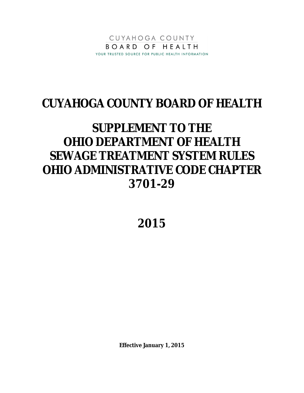

## **CUYAHOGA COUNTY BOARD OF HEALTH**

# **SUPPLEMENT TO THE OHIO DEPARTMENT OF HEALTH SEWAGE TREATMENT SYSTEM RULES OHIO ADMINISTRATIVE CODE CHAPTER 3701-29**

**2015**

**Effective January 1, 2015**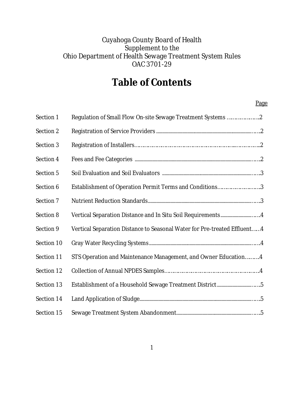### Cuyahoga County Board of Health Supplement to the Ohio Department of Health Sewage Treatment System Rules OAC 3701-29

### **Table of Contents**

#### Page

| Section 1  | Regulation of Small Flow On-site Sewage Treatment Systems 2               |
|------------|---------------------------------------------------------------------------|
| Section 2  |                                                                           |
| Section 3  |                                                                           |
| Section 4  |                                                                           |
| Section 5  |                                                                           |
| Section 6  | Establishment of Operation Permit Terms and Conditions3                   |
| Section 7  |                                                                           |
| Section 8  |                                                                           |
| Section 9  | Vertical Separation Distance to Seasonal Water for Pre-treated Effluent 4 |
| Section 10 |                                                                           |
| Section 11 | STS Operation and Maintenance Management, and Owner Education4            |
| Section 12 |                                                                           |
| Section 13 | Establishment of a Household Sewage Treatment District5                   |
| Section 14 |                                                                           |
| Section 15 |                                                                           |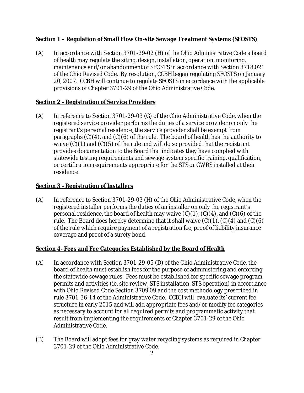#### **Section 1 – Regulation of Small Flow On-site Sewage Treatment Systems (SFOSTS)**

(A) In accordance with Section 3701-29-02 (H) of the Ohio Administrative Code a board of health may regulate the siting, design, installation, operation, monitoring, maintenance and/or abandonment of SFOSTS in accordance with Section 3718.021 of the Ohio Revised Code. By resolution, CCBH began regulating SFOSTS on January 20, 2007. CCBH will continue to regulate SFOSTS in accordance with the applicable provisions of Chapter 3701-29 of the Ohio Administrative Code.

#### **Section 2 - Registration of Service Providers**

(A) In reference to Section 3701-29-03 (G) of the Ohio Administrative Code, when the registered service provider performs the duties of a service provider on only the registrant's personal residence, the service provider shall be exempt from paragraphs (C)(4), and (C)(6) of the rule. The board of health has the authority to waive (C)(1) and (C)(5) of the rule and will do so provided that the registrant provides documentation to the Board that indicates they have complied with statewide testing requirements and sewage system specific training, qualification, or certification requirements appropriate for the STS or GWRS installed at their residence.

#### **Section 3 - Registration of Installers**

(A) In reference to Section 3701-29-03 (H) of the Ohio Administrative Code, when the registered installer performs the duties of an installer on only the registrant's personal residence, the board of health may waive  $(C)(1)$ ,  $(C)(4)$ , and  $(C)(6)$  of the rule. The Board does hereby determine that it shall waive  $(C)(1)$ ,  $(C)(4)$  and  $(C)(6)$ of the rule which require payment of a registration fee, proof of liability insurance coverage and proof of a surety bond.

#### **Section 4- Fees and Fee Categories Established by the Board of Health**

- (A) In accordance with Section 3701-29-05 (D) of the Ohio Administrative Code, the board of health must establish fees for the purpose of administering and enforcing the statewide sewage rules. Fees must be established for specific sewage program permits and activities (ie. site review, STS installation, STS operation) in accordance with Ohio Revised Code Section 3709.09 and the cost methodology prescribed in rule 3701-36-14 of the Administrative Code. CCBH will evaluate its' current fee structure in early 2015 and will add appropriate fees and/or modify fee categories as necessary to account for all required permits and programmatic activity that result from implementing the requirements of Chapter 3701-29 of the Ohio Administrative Code.
- (B) The Board will adopt fees for gray water recycling systems as required in Chapter 3701-29 of the Ohio Administrative Code.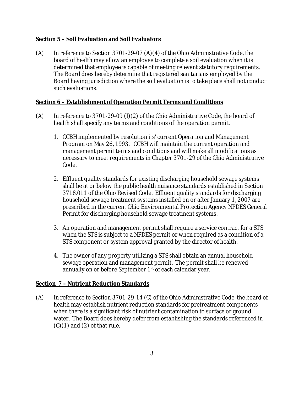#### **Section 5 – Soil Evaluation and Soil Evaluators**

 $(A)$  In reference to Section 3701-29-07  $(A)(4)$  of the Ohio Administrative Code, the board of health may allow an employee to complete a soil evaluation when it is determined that employee is capable of meeting relevant statutory requirements. The Board does hereby determine that registered sanitarians employed by the Board having jurisdiction where the soil evaluation is to take place shall not conduct such evaluations.

#### **Section 6 – Establishment of Operation Permit Terms and Conditions**

- (A) In reference to 3701-29-09 (I)(2) of the Ohio Administrative Code, the board of health shall specify any terms and conditions of the operation permit.
	- 1. CCBH implemented by resolution its' current Operation and Management Program on May 26, 1993. CCBH will maintain the current operation and management permit terms and conditions and will make all modifications as necessary to meet requirements in Chapter 3701-29 of the Ohio Administrative Code.
	- 2. Effluent quality standards for existing discharging household sewage systems shall be at or below the public health nuisance standards established in Section 3718.011 of the Ohio Revised Code. Effluent quality standards for discharging household sewage treatment systems installed on or after January 1, 2007 are prescribed in the current Ohio Environmental Protection Agency NPDES General Permit for discharging household sewage treatment systems.
	- 3. An operation and management permit shall require a service contract for a STS when the STS is subject to a NPDES permit or when required as a condition of a STS component or system approval granted by the director of health.
	- 4. The owner of any property utilizing a STS shall obtain an annual household sewage operation and management permit. The permit shall be renewed annually on or before September 1<sup>st</sup> of each calendar year.

#### **Section 7 – Nutrient Reduction Standards**

(A) In reference to Section 3701-29-14 (C) of the Ohio Administrative Code, the board of health may establish nutrient reduction standards for pretreatment components when there is a significant risk of nutrient contamination to surface or ground water. The Board does hereby defer from establishing the standards referenced in  $(C)(1)$  and  $(2)$  of that rule.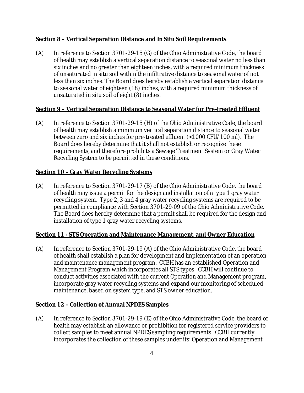#### **Section 8 – Vertical Separation Distance and In Situ Soil Requirements**

(A) In reference to Section 3701-29-15 (G) of the Ohio Administrative Code, the board of health may establish a vertical separation distance to seasonal water no less than six inches and no greater than eighteen inches, with a required minimum thickness of unsaturated in situ soil within the infiltrative distance to seasonal water of not less than six inches. The Board does hereby establish a vertical separation distance to seasonal water of eighteen (18) inches, with a required minimum thickness of unsaturated in situ soil of eight (8) inches.

#### **Section 9 – Vertical Separation Distance to Seasonal Water for Pre-treated Effluent**

(A) In reference to Section 3701-29-15 (H) of the Ohio Administrative Code, the board of health may establish a minimum vertical separation distance to seasonal water between zero and six inches for pre-treated effluent (<1000 CFU/100 ml). The Board does hereby determine that it shall not establish or recognize these requirements, and therefore prohibits a Sewage Treatment System or Gray Water Recycling System to be permitted in these conditions.

#### **Section 10 – Gray Water Recycling Systems**

(A) In reference to Section 3701-29-17 (B) of the Ohio Administrative Code, the board of health may issue a permit for the design and installation of a type 1 gray water recycling system. Type 2, 3 and 4 gray water recycling systems are required to be permitted in compliance with Section 3701-29-09 of the Ohio Administrative Code. The Board does hereby determine that a permit shall be required for the design and installation of type 1 gray water recycling systems.

#### **Section 11 - STS Operation and Maintenance Management, and Owner Education**

(A) In reference to Section 3701-29-19 (A) of the Ohio Administrative Code, the board of health shall establish a plan for development and implementation of an operation and maintenance management program. CCBH has an established Operation and Management Program which incorporates all STS types. CCBH will continue to conduct activities associated with the current Operation and Management program, incorporate gray water recycling systems and expand our monitoring of scheduled maintenance, based on system type, and STS owner education.

#### **Section 12 – Collection of Annual NPDES Samples**

(A) In reference to Section 3701-29-19 (E) of the Ohio Administrative Code, the board of health may establish an allowance or prohibition for registered service providers to collect samples to meet annual NPDES sampling requirements. CCBH currently incorporates the collection of these samples under its' Operation and Management